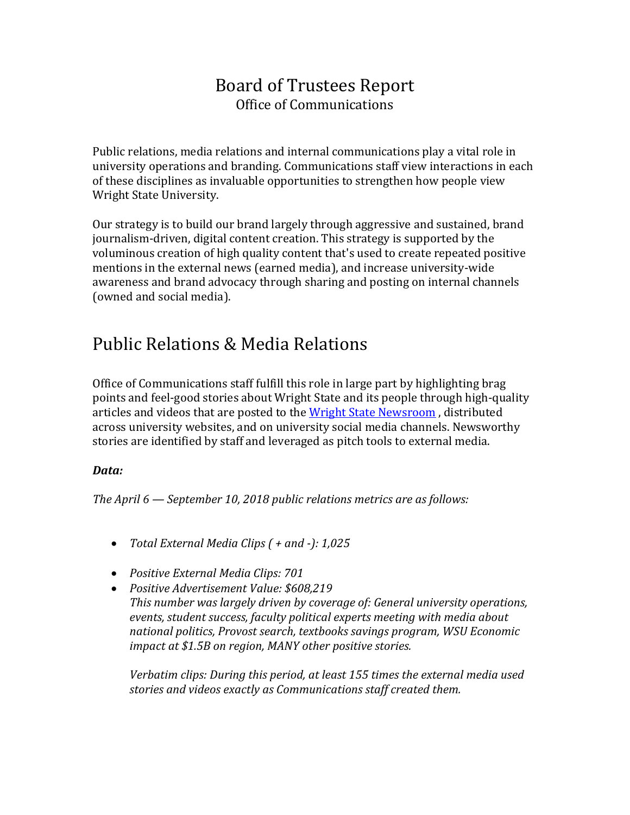### Board of Trustees Report Office of Communications

Public relations, media relations and internal communications play a vital role in university operations and branding. Communications staff view interactions in each of these disciplines as invaluable opportunities to strengthen how people view Wright State University.

Our strategy is to build our brand largely through aggressive and sustained, brand journalism-driven, digital content creation. This strategy is supported by the voluminous creation of high quality content that's used to create repeated positive mentions in the external news (earned media), and increase university-wide awareness and brand advocacy through sharing and posting on internal channels (owned and social media).

## Public Relations & Media Relations

Office of Communications staff fulfill this role in large part by highlighting brag points and feel-good stories about Wright State and its people through high-quality articles and videos that are posted to the [Wright State Newsroom](http://www.wright.edu/news), distributed across university websites, and on university social media channels. Newsworthy stories are identified by staff and leveraged as pitch tools to external media.

#### *Data:*

*The April 6 — September 10, 2018 public relations metrics are as follows:*

- *Total External Media Clips ( + and -): 1,025*
- *Positive External Media Clips: 701*
- *Positive Advertisement Value: \$608,219 This number was largely driven by coverage of: General university operations, events, student success, faculty political experts meeting with media about national politics, Provost search, textbooks savings program, WSU Economic impact at \$1.5B on region, MANY other positive stories.*

*Verbatim clips: During this period, at least 155 times the external media used stories and videos exactly as Communications staff created them.*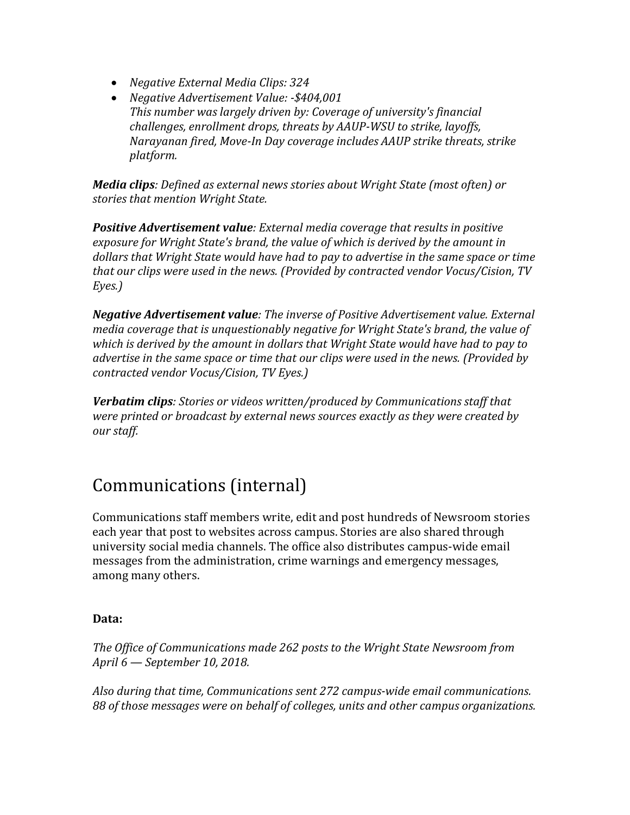- *Negative External Media Clips: 324*
- *Negative Advertisement Value: -\$404,001 This number was largely driven by: Coverage of university's financial challenges, enrollment drops, threats by AAUP-WSU to strike, layoffs, Narayanan fired, Move-In Day coverage includes AAUP strike threats, strike platform.*

*Media clips: Defined as external news stories about Wright State (most often) or stories that mention Wright State.*

*Positive Advertisement value: External media coverage that results in positive exposure for Wright State's brand, the value of which is derived by the amount in dollars that Wright State would have had to pay to advertise in the same space or time that our clips were used in the news. (Provided by contracted vendor Vocus/Cision, TV Eyes.)*

*Negative Advertisement value: The inverse of Positive Advertisement value. External media coverage that is unquestionably negative for Wright State's brand, the value of which is derived by the amount in dollars that Wright State would have had to pay to advertise in the same space or time that our clips were used in the news. (Provided by contracted vendor Vocus/Cision, TV Eyes.)*

*Verbatim clips: Stories or videos written/produced by Communications staff that were printed or broadcast by external news sources exactly as they were created by our staff.*

# Communications (internal)

Communications staff members write, edit and post hundreds of Newsroom stories each year that post to websites across campus. Stories are also shared through university social media channels. The office also distributes campus-wide email messages from the administration, crime warnings and emergency messages, among many others.

#### **Data:**

*The Office of Communications made 262 posts to the Wright State Newsroom from April 6 — September 10, 2018.*

*Also during that time, Communications sent 272 campus-wide email communications. 88 of those messages were on behalf of colleges, units and other campus organizations.*